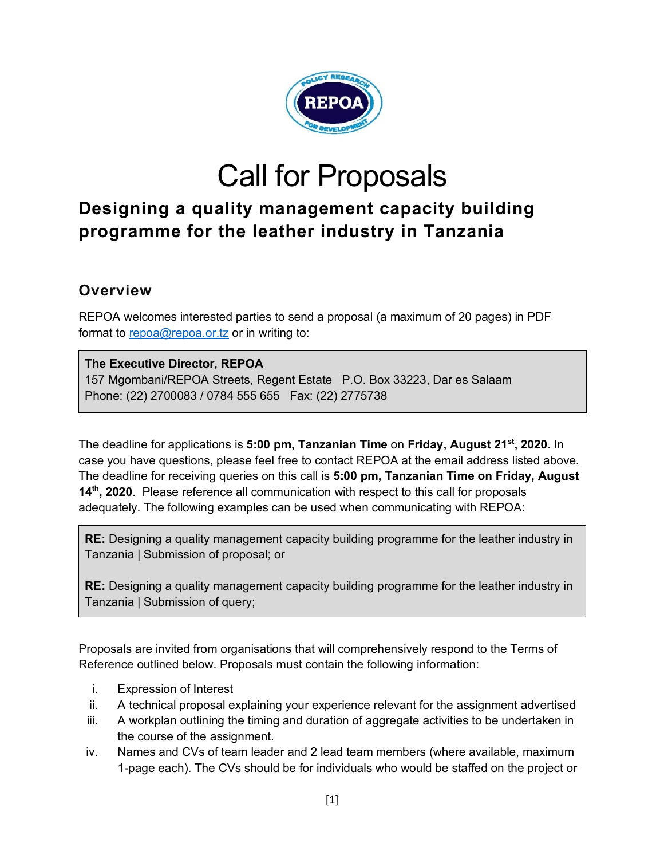

# Call for Proposals

## **Designing a quality management capacity building programme for the leather industry in Tanzania**

#### **Overview**

REPOA welcomes interested parties to send a proposal (a maximum of 20 pages) in PDF format to repoa@repoa.or.tz or in writing to:

#### **The Executive Director, REPOA**

157 Mgombani/REPOA Streets, Regent Estate P.O. Box 33223, Dar es Salaam Phone: (22) 2700083 / 0784 555 655 Fax: (22) 2775738

The deadline for applications is **5:00 pm, Tanzanian Time** on **Friday, August 21st, 2020**. In case you have questions, please feel free to contact REPOA at the email address listed above. The deadline for receiving queries on this call is **5:00 pm, Tanzanian Time on Friday, August 14th, 2020**. Please reference all communication with respect to this call for proposals adequately. The following examples can be used when communicating with REPOA:

**RE:** Designing a quality management capacity building programme for the leather industry in Tanzania | Submission of proposal; or

**RE:** Designing a quality management capacity building programme for the leather industry in Tanzania | Submission of query;

Proposals are invited from organisations that will comprehensively respond to the Terms of Reference outlined below. Proposals must contain the following information:

- i. Expression of Interest
- ii. A technical proposal explaining your experience relevant for the assignment advertised
- iii. A workplan outlining the timing and duration of aggregate activities to be undertaken in the course of the assignment.
- iv. Names and CVs of team leader and 2 lead team members (where available, maximum 1-page each). The CVs should be for individuals who would be staffed on the project or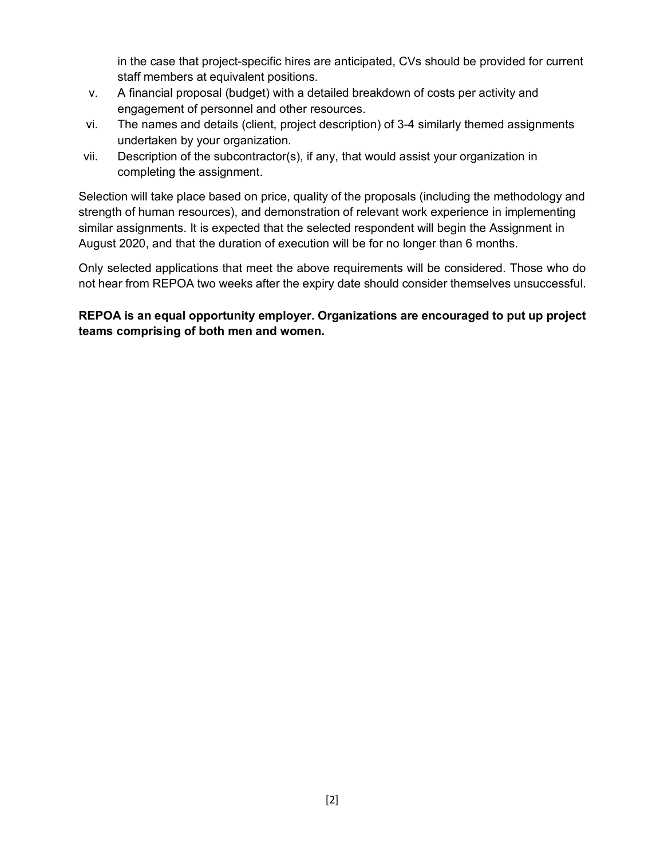in the case that project-specific hires are anticipated, CVs should be provided for current staff members at equivalent positions.

- v. A financial proposal (budget) with a detailed breakdown of costs per activity and engagement of personnel and other resources.
- vi. The names and details (client, project description) of 3-4 similarly themed assignments undertaken by your organization.
- vii. Description of the subcontractor(s), if any, that would assist your organization in completing the assignment.

Selection will take place based on price, quality of the proposals (including the methodology and strength of human resources), and demonstration of relevant work experience in implementing similar assignments. It is expected that the selected respondent will begin the Assignment in August 2020, and that the duration of execution will be for no longer than 6 months.

Only selected applications that meet the above requirements will be considered. Those who do not hear from REPOA two weeks after the expiry date should consider themselves unsuccessful.

**REPOA is an equal opportunity employer. Organizations are encouraged to put up project teams comprising of both men and women.**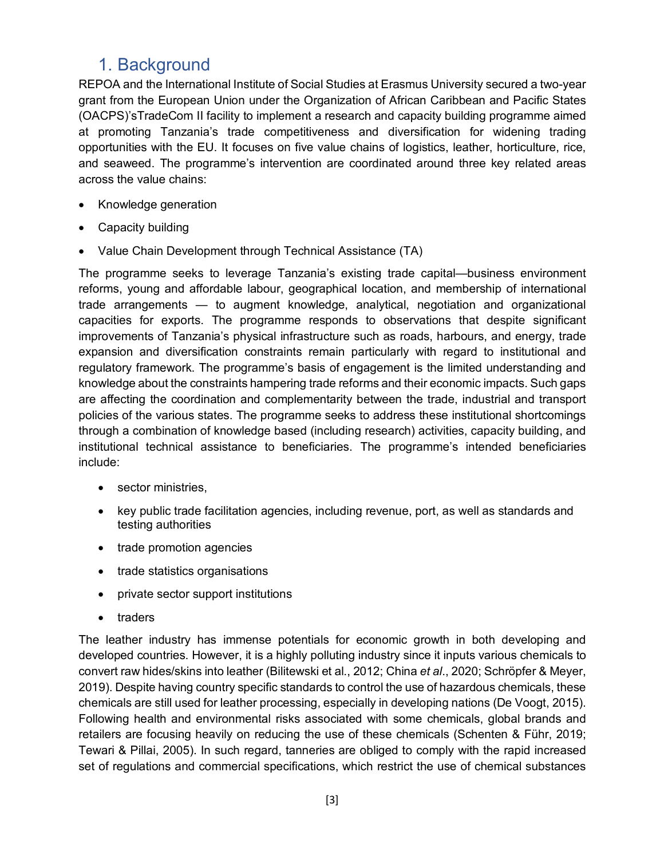## 1. Background

REPOA and the International Institute of Social Studies at Erasmus University secured a two-year grant from the European Union under the Organization of African Caribbean and Pacific States (OACPS)'sTradeCom II facility to implement a research and capacity building programme aimed at promoting Tanzania's trade competitiveness and diversification for widening trading opportunities with the EU. It focuses on five value chains of logistics, leather, horticulture, rice, and seaweed. The programme's intervention are coordinated around three key related areas across the value chains:

- Knowledge generation
- Capacity building
- Value Chain Development through Technical Assistance (TA)

The programme seeks to leverage Tanzania's existing trade capital—business environment reforms, young and affordable labour, geographical location, and membership of international trade arrangements — to augment knowledge, analytical, negotiation and organizational capacities for exports. The programme responds to observations that despite significant improvements of Tanzania's physical infrastructure such as roads, harbours, and energy, trade expansion and diversification constraints remain particularly with regard to institutional and regulatory framework. The programme's basis of engagement is the limited understanding and knowledge about the constraints hampering trade reforms and their economic impacts. Such gaps are affecting the coordination and complementarity between the trade, industrial and transport policies of the various states. The programme seeks to address these institutional shortcomings through a combination of knowledge based (including research) activities, capacity building, and institutional technical assistance to beneficiaries. The programme's intended beneficiaries include:

- sector ministries,
- key public trade facilitation agencies, including revenue, port, as well as standards and testing authorities
- trade promotion agencies
- trade statistics organisations
- private sector support institutions
- traders

The leather industry has immense potentials for economic growth in both developing and developed countries. However, it is a highly polluting industry since it inputs various chemicals to convert raw hides/skins into leather (Bilitewski et al., 2012; China *et al*., 2020; Schröpfer & Meyer, 2019). Despite having country specific standards to control the use of hazardous chemicals, these chemicals are still used for leather processing, especially in developing nations (De Voogt, 2015). Following health and environmental risks associated with some chemicals, global brands and retailers are focusing heavily on reducing the use of these chemicals (Schenten & Führ, 2019; Tewari & Pillai, 2005). In such regard, tanneries are obliged to comply with the rapid increased set of regulations and commercial specifications, which restrict the use of chemical substances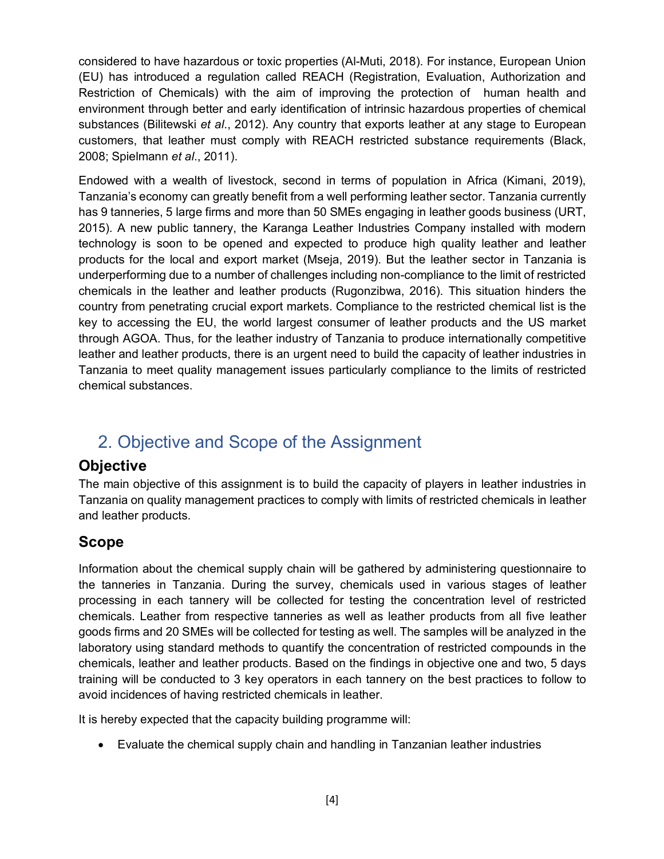considered to have hazardous or toxic properties (Al-Muti, 2018). For instance, European Union (EU) has introduced a regulation called REACH (Registration, Evaluation, Authorization and Restriction of Chemicals) with the aim of improving the protection of human health and environment through better and early identification of intrinsic hazardous properties of chemical substances (Bilitewski *et al*., 2012). Any country that exports leather at any stage to European customers, that leather must comply with REACH restricted substance requirements (Black, 2008; Spielmann *et al*., 2011).

Endowed with a wealth of livestock, second in terms of population in Africa (Kimani, 2019), Tanzania's economy can greatly benefit from a well performing leather sector. Tanzania currently has 9 tanneries, 5 large firms and more than 50 SMEs engaging in leather goods business (URT, 2015). A new public tannery, the Karanga Leather Industries Company installed with modern technology is soon to be opened and expected to produce high quality leather and leather products for the local and export market (Mseja, 2019). But the leather sector in Tanzania is underperforming due to a number of challenges including non-compliance to the limit of restricted chemicals in the leather and leather products (Rugonzibwa, 2016). This situation hinders the country from penetrating crucial export markets. Compliance to the restricted chemical list is the key to accessing the EU, the world largest consumer of leather products and the US market through AGOA. Thus, for the leather industry of Tanzania to produce internationally competitive leather and leather products, there is an urgent need to build the capacity of leather industries in Tanzania to meet quality management issues particularly compliance to the limits of restricted chemical substances.

## 2. Objective and Scope of the Assignment

#### **Objective**

The main objective of this assignment is to build the capacity of players in leather industries in Tanzania on quality management practices to comply with limits of restricted chemicals in leather and leather products.

#### **Scope**

Information about the chemical supply chain will be gathered by administering questionnaire to the tanneries in Tanzania. During the survey, chemicals used in various stages of leather processing in each tannery will be collected for testing the concentration level of restricted chemicals. Leather from respective tanneries as well as leather products from all five leather goods firms and 20 SMEs will be collected for testing as well. The samples will be analyzed in the laboratory using standard methods to quantify the concentration of restricted compounds in the chemicals, leather and leather products. Based on the findings in objective one and two, 5 days training will be conducted to 3 key operators in each tannery on the best practices to follow to avoid incidences of having restricted chemicals in leather.

It is hereby expected that the capacity building programme will:

• Evaluate the chemical supply chain and handling in Tanzanian leather industries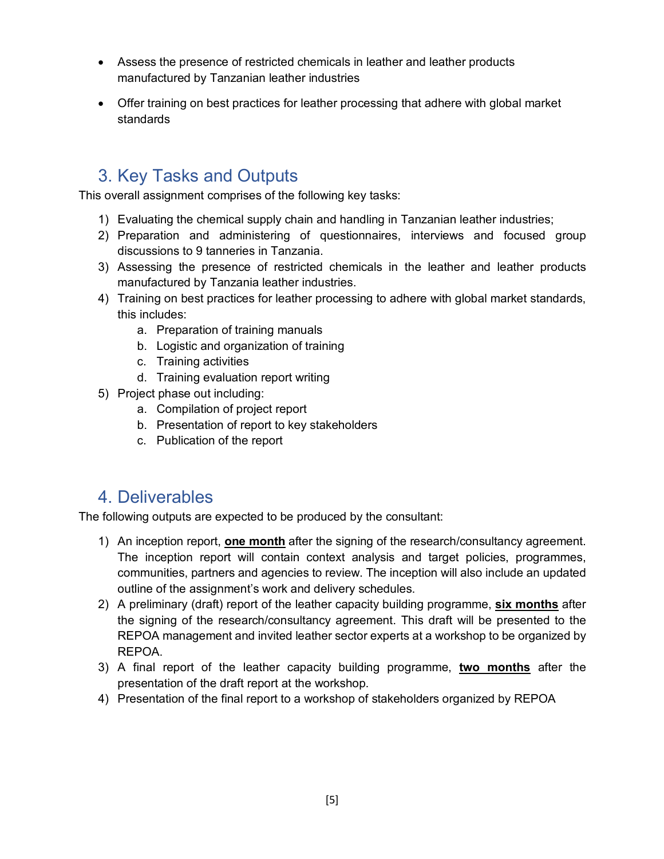- Assess the presence of restricted chemicals in leather and leather products manufactured by Tanzanian leather industries
- Offer training on best practices for leather processing that adhere with global market standards

## 3. Key Tasks and Outputs

This overall assignment comprises of the following key tasks:

- 1) Evaluating the chemical supply chain and handling in Tanzanian leather industries;
- 2) Preparation and administering of questionnaires, interviews and focused group discussions to 9 tanneries in Tanzania.
- 3) Assessing the presence of restricted chemicals in the leather and leather products manufactured by Tanzania leather industries.
- 4) Training on best practices for leather processing to adhere with global market standards, this includes:
	- a. Preparation of training manuals
	- b. Logistic and organization of training
	- c. Training activities
	- d. Training evaluation report writing
- 5) Project phase out including:
	- a. Compilation of project report
	- b. Presentation of report to key stakeholders
	- c. Publication of the report

### 4. Deliverables

The following outputs are expected to be produced by the consultant:

- 1) An inception report, **one month** after the signing of the research/consultancy agreement. The inception report will contain context analysis and target policies, programmes, communities, partners and agencies to review. The inception will also include an updated outline of the assignment's work and delivery schedules.
- 2) A preliminary (draft) report of the leather capacity building programme, **six months** after the signing of the research/consultancy agreement. This draft will be presented to the REPOA management and invited leather sector experts at a workshop to be organized by REPOA.
- 3) A final report of the leather capacity building programme, **two months** after the presentation of the draft report at the workshop.
- 4) Presentation of the final report to a workshop of stakeholders organized by REPOA